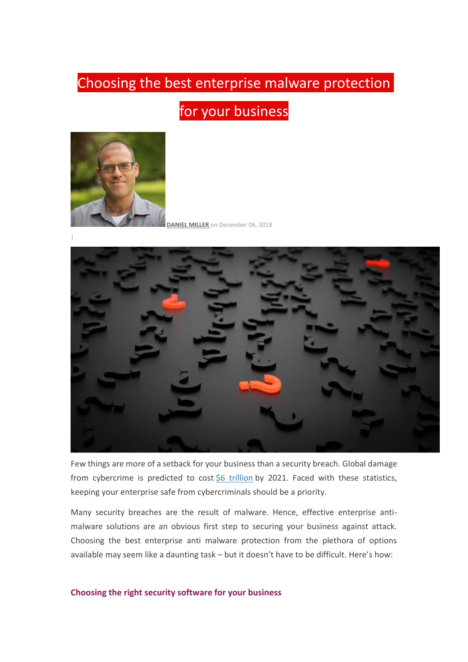# Choosing the best enterprise malware protection

for your business



**[DANIEL MILLER](http://blog.ericom.com/author-profile/Daniel-Miller)** on December 06, 2018



Few things are more of a setback for your business than a security breach. Global damage from cybercrime is predicted to cost [\\$6 trillion](https://cybersecurityventures.com/hackerpocalypse-cybercrime-report-2016/) by 2021. Faced with these statistics, keeping your enterprise safe from cybercriminals should be a priority.

Many security breaches are the result of malware. Hence, effective enterprise antimalware solutions are an obvious first step to securing your business against attack. Choosing the best enterprise anti malware protection from the plethora of options available may seem like a daunting task – but it doesn't have to be difficult. Here's how:

### **Choosing the right security software for your business**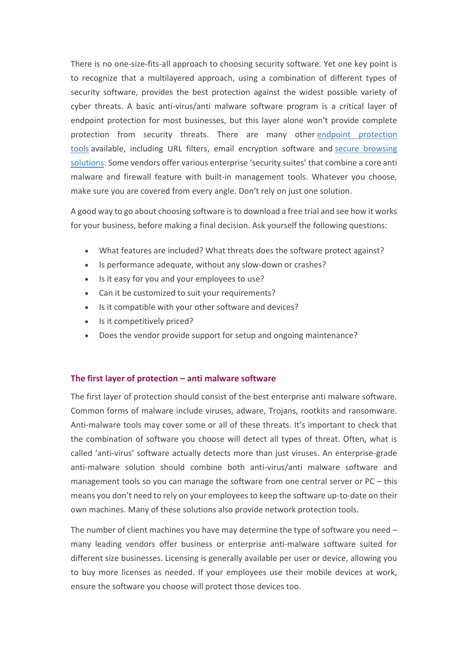There is no one-size-fits-all approach to choosing security software. Yet one key point is to recognize that a multilayered approach, using a combination of different types of security software, provides the best protection against the widest possible variety of cyber threats. A basic anti-virus/anti malware software program is a critical layer of endpoint protection for most businesses, but this layer alone won't provide complete protection from security threats. There are many other [endpoint protection](http://blog.ericom.com/Endpoint-Protection-Tools-Products-and-Best-Practices/)  [tools](http://blog.ericom.com/Endpoint-Protection-Tools-Products-and-Best-Practices/) available, including URL filters, email encryption software and [secure browsing](https://www.ericom.com/solutions/browser-isolation/)  [solutions](https://www.ericom.com/solutions/browser-isolation/). Some vendors offer various enterprise 'security suites' that combine a core anti malware and firewall feature with built-in management tools. Whatever you choose, make sure you are covered from every angle. Don't rely on just one solution.

A good way to go about choosing software is to download a free trial and see how it works for your business, before making a final decision. Ask yourself the following questions:

- What features are included? What threats does the software protect against?
- Is performance adequate, without any slow-down or crashes?
- Is it easy for you and your employees to use?
- Can it be customized to suit your requirements?
- Is it compatible with your other software and devices?
- Is it competitively priced?
- Does the vendor provide support for setup and ongoing maintenance?

## **The first layer of protection – anti malware software**

The first layer of protection should consist of the best enterprise anti malware software. Common forms of malware include viruses, adware, Trojans, rootkits and ransomware. Anti-malware tools may cover some or all of these threats. It's important to check that the combination of software you choose will detect all types of threat. Often, what is called 'anti-virus' software actually detects more than just viruses. An enterprise-grade anti-malware solution should combine both anti-virus/anti malware software and management tools so you can manage the software from one central server or PC – this means you don't need to rely on your employees to keep the software up-to-date on their own machines. Many of these solutions also provide network protection tools.

The number of client machines you have may determine the type of software you need – many leading vendors offer business or enterprise anti-malware software suited for different size businesses. Licensing is generally available per user or device, allowing you to buy more licenses as needed. If your employees use their mobile devices at work, ensure the software you choose will protect those devices too.